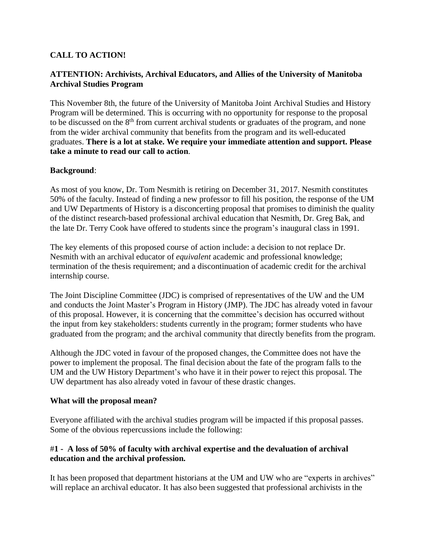### **CALL TO ACTION!**

### **ATTENTION: Archivists, Archival Educators, and Allies of the University of Manitoba Archival Studies Program**

This November 8th, the future of the University of Manitoba Joint Archival Studies and History Program will be determined. This is occurring with no opportunity for response to the proposal to be discussed on the 8<sup>th</sup> from current archival students or graduates of the program, and none from the wider archival community that benefits from the program and its well-educated graduates. **There is a lot at stake. We require your immediate attention and support. Please take a minute to read our call to action**.

#### **Background**:

As most of you know, Dr. Tom Nesmith is retiring on December 31, 2017. Nesmith constitutes 50% of the faculty. Instead of finding a new professor to fill his position, the response of the UM and UW Departments of History is a disconcerting proposal that promises to diminish the quality of the distinct research-based professional archival education that Nesmith, Dr. Greg Bak, and the late Dr. Terry Cook have offered to students since the program's inaugural class in 1991.

The key elements of this proposed course of action include: a decision to not replace Dr. Nesmith with an archival educator of *equivalent* academic and professional knowledge; termination of the thesis requirement; and a discontinuation of academic credit for the archival internship course.

The Joint Discipline Committee (JDC) is comprised of representatives of the UW and the UM and conducts the Joint Master's Program in History (JMP). The JDC has already voted in favour of this proposal. However, it is concerning that the committee's decision has occurred without the input from key stakeholders: students currently in the program; former students who have graduated from the program; and the archival community that directly benefits from the program.

Although the JDC voted in favour of the proposed changes, the Committee does not have the power to implement the proposal. The final decision about the fate of the program falls to the UM and the UW History Department's who have it in their power to reject this proposal. The UW department has also already voted in favour of these drastic changes.

#### **What will the proposal mean?**

Everyone affiliated with the archival studies program will be impacted if this proposal passes. Some of the obvious repercussions include the following:

### #**1 - A loss of 50% of faculty with archival expertise and the devaluation of archival education and the archival profession.**

It has been proposed that department historians at the UM and UW who are "experts in archives" will replace an archival educator. It has also been suggested that professional archivists in the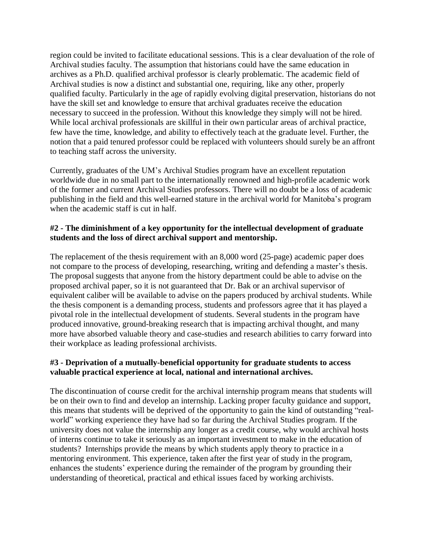region could be invited to facilitate educational sessions. This is a clear devaluation of the role of Archival studies faculty. The assumption that historians could have the same education in archives as a Ph.D. qualified archival professor is clearly problematic. The academic field of Archival studies is now a distinct and substantial one, requiring, like any other, properly qualified faculty. Particularly in the age of rapidly evolving digital preservation, historians do not have the skill set and knowledge to ensure that archival graduates receive the education necessary to succeed in the profession. Without this knowledge they simply will not be hired. While local archival professionals are skillful in their own particular areas of archival practice, few have the time, knowledge, and ability to effectively teach at the graduate level. Further, the notion that a paid tenured professor could be replaced with volunteers should surely be an affront to teaching staff across the university.

Currently, graduates of the UM's Archival Studies program have an excellent reputation worldwide due in no small part to the internationally renowned and high-profile academic work of the former and current Archival Studies professors. There will no doubt be a loss of academic publishing in the field and this well-earned stature in the archival world for Manitoba's program when the academic staff is cut in half.

#### **#2 - The diminishment of a key opportunity for the intellectual development of graduate students and the loss of direct archival support and mentorship.**

The replacement of the thesis requirement with an 8,000 word (25-page) academic paper does not compare to the process of developing, researching, writing and defending a master's thesis. The proposal suggests that anyone from the history department could be able to advise on the proposed archival paper, so it is not guaranteed that Dr. Bak or an archival supervisor of equivalent caliber will be available to advise on the papers produced by archival students. While the thesis component is a demanding process, students and professors agree that it has played a pivotal role in the intellectual development of students. Several students in the program have produced innovative, ground-breaking research that is impacting archival thought, and many more have absorbed valuable theory and case-studies and research abilities to carry forward into their workplace as leading professional archivists.

#### **#3 - Deprivation of a mutually-beneficial opportunity for graduate students to access valuable practical experience at local, national and international archives.**

The discontinuation of course credit for the archival internship program means that students will be on their own to find and develop an internship. Lacking proper faculty guidance and support, this means that students will be deprived of the opportunity to gain the kind of outstanding "realworld" working experience they have had so far during the Archival Studies program. If the university does not value the internship any longer as a credit course, why would archival hosts of interns continue to take it seriously as an important investment to make in the education of students? Internships provide the means by which students apply theory to practice in a mentoring environment. This experience, taken after the first year of study in the program, enhances the students' experience during the remainder of the program by grounding their understanding of theoretical, practical and ethical issues faced by working archivists.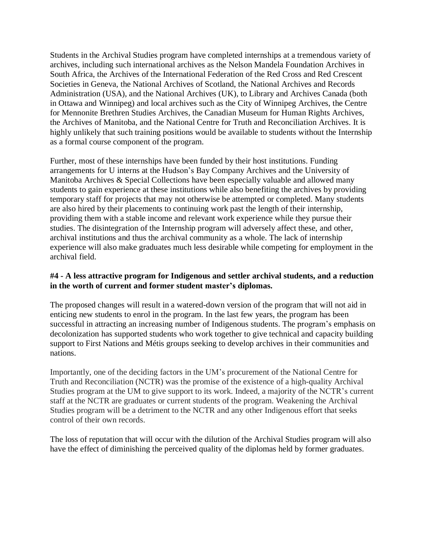Students in the Archival Studies program have completed internships at a tremendous variety of archives, including such international archives as the Nelson Mandela Foundation Archives in South Africa, the Archives of the International Federation of the Red Cross and Red Crescent Societies in Geneva, the National Archives of Scotland, the National Archives and Records Administration (USA), and the National Archives (UK), to Library and Archives Canada (both in Ottawa and Winnipeg) and local archives such as the City of Winnipeg Archives, the Centre for Mennonite Brethren Studies Archives, the Canadian Museum for Human Rights Archives, the Archives of Manitoba, and the National Centre for Truth and Reconciliation Archives. It is highly unlikely that such training positions would be available to students without the Internship as a formal course component of the program.

Further, most of these internships have been funded by their host institutions. Funding arrangements for U interns at the Hudson's Bay Company Archives and the University of Manitoba Archives & Special Collections have been especially valuable and allowed many students to gain experience at these institutions while also benefiting the archives by providing temporary staff for projects that may not otherwise be attempted or completed. Many students are also hired by their placements to continuing work past the length of their internship, providing them with a stable income and relevant work experience while they pursue their studies. The disintegration of the Internship program will adversely affect these, and other, archival institutions and thus the archival community as a whole. The lack of internship experience will also make graduates much less desirable while competing for employment in the archival field.

### **#4 - A less attractive program for Indigenous and settler archival students, and a reduction in the worth of current and former student master's diplomas.**

The proposed changes will result in a watered-down version of the program that will not aid in enticing new students to enrol in the program. In the last few years, the program has been successful in attracting an increasing number of Indigenous students. The program's emphasis on decolonization has supported students who work together to give technical and capacity building support to First Nations and Métis groups seeking to develop archives in their communities and nations.

Importantly, one of the deciding factors in the UM's procurement of the National Centre for Truth and Reconciliation (NCTR) was the promise of the existence of a high-quality Archival Studies program at the UM to give support to its work. Indeed, a majority of the NCTR's current staff at the NCTR are graduates or current students of the program. Weakening the Archival Studies program will be a detriment to the NCTR and any other Indigenous effort that seeks control of their own records.

The loss of reputation that will occur with the dilution of the Archival Studies program will also have the effect of diminishing the perceived quality of the diplomas held by former graduates.